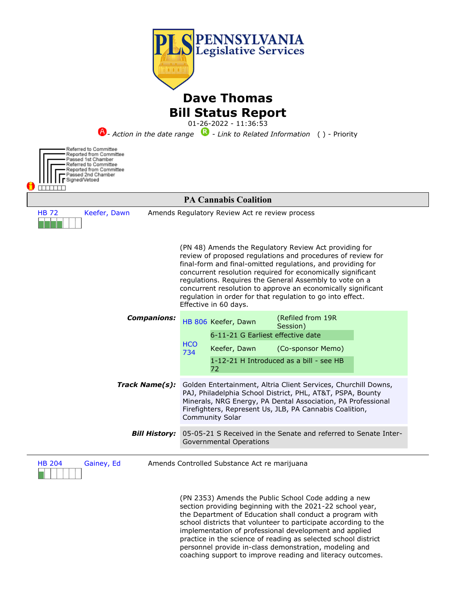

(PN 2353) Amends the Public School Code adding a new section providing beginning with the 2021-22 school year, the Department of Education shall conduct a program with school districts that volunteer to participate according to the implementation of professional development and applied practice in the science of reading as selected school district personnel provide in-class demonstration, modeling and coaching support to improve reading and literacy outcomes.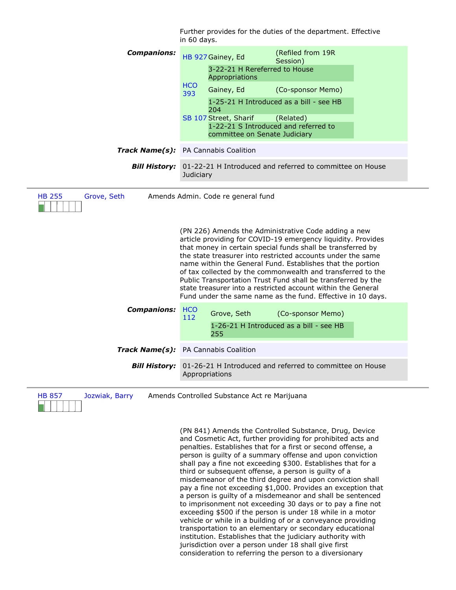| (Refiled from 19R<br><b>Companions:</b><br>HB 927 Gainey, Ed<br>Session)<br>3-22-21 H Rereferred to House                                                                                                                                                                                                                                                                                                                                                                                                                                                                                                            |  |  |
|----------------------------------------------------------------------------------------------------------------------------------------------------------------------------------------------------------------------------------------------------------------------------------------------------------------------------------------------------------------------------------------------------------------------------------------------------------------------------------------------------------------------------------------------------------------------------------------------------------------------|--|--|
|                                                                                                                                                                                                                                                                                                                                                                                                                                                                                                                                                                                                                      |  |  |
| Appropriations                                                                                                                                                                                                                                                                                                                                                                                                                                                                                                                                                                                                       |  |  |
| <b>HCO</b><br>Gainey, Ed<br>(Co-sponsor Memo)<br>393                                                                                                                                                                                                                                                                                                                                                                                                                                                                                                                                                                 |  |  |
| 1-25-21 H Introduced as a bill - see HB<br>204                                                                                                                                                                                                                                                                                                                                                                                                                                                                                                                                                                       |  |  |
| SB 107 Street, Sharif<br>(Related)<br>1-22-21 S Introduced and referred to<br>committee on Senate Judiciary                                                                                                                                                                                                                                                                                                                                                                                                                                                                                                          |  |  |
| Track Name(s): PA Cannabis Coalition                                                                                                                                                                                                                                                                                                                                                                                                                                                                                                                                                                                 |  |  |
| 01-22-21 H Introduced and referred to committee on House<br><b>Bill History:</b><br>Judiciary                                                                                                                                                                                                                                                                                                                                                                                                                                                                                                                        |  |  |
| Amends Admin. Code re general fund<br>(PN 226) Amends the Administrative Code adding a new<br>article providing for COVID-19 emergency liquidity. Provides<br>that money in certain special funds shall be transferred by<br>the state treasurer into restricted accounts under the same<br>name within the General Fund. Establishes that the portion<br>of tax collected by the commonwealth and transferred to the<br>Public Transportation Trust Fund shall be transferred by the<br>state treasurer into a restricted account within the General<br>Fund under the same name as the fund. Effective in 10 days. |  |  |
| <b>Companions:</b><br><b>HCO</b><br>Grove, Seth<br>(Co-sponsor Memo)<br>112<br>1-26-21 H Introduced as a bill - see HB                                                                                                                                                                                                                                                                                                                                                                                                                                                                                               |  |  |
| 255                                                                                                                                                                                                                                                                                                                                                                                                                                                                                                                                                                                                                  |  |  |
| <b>Track Name(s):</b> PA Cannabis Coalition                                                                                                                                                                                                                                                                                                                                                                                                                                                                                                                                                                          |  |  |
| 01-26-21 H Introduced and referred to committee on House<br><b>Bill History:</b><br>Appropriations                                                                                                                                                                                                                                                                                                                                                                                                                                                                                                                   |  |  |
|                                                                                                                                                                                                                                                                                                                                                                                                                                                                                                                                                                                                                      |  |  |

HB 857 Jozwiak, Barry Amends Controlled Substance Act re Marijuana

(PN 841) Amends the Controlled Substance, Drug, Device and Cosmetic Act, further providing for prohibited acts and penalties. Establishes that for a first or second offense, a person is guilty of a summary offense and upon conviction shall pay a fine not exceeding \$300. Establishes that for a third or subsequent offense, a person is guilty of a misdemeanor of the third degree and upon conviction shall pay a fine not exceeding \$1,000. Provides an exception that a person is guilty of a misdemeanor and shall be sentenced to imprisonment not exceeding 30 days or to pay a fine not exceeding \$500 if the person is under 18 while in a motor vehicle or while in a building of or a conveyance providing transportation to an elementary or secondary educational institution. Establishes that the judiciary authority with jurisdiction over a person under 18 shall give first consideration to referring the person to a diversionary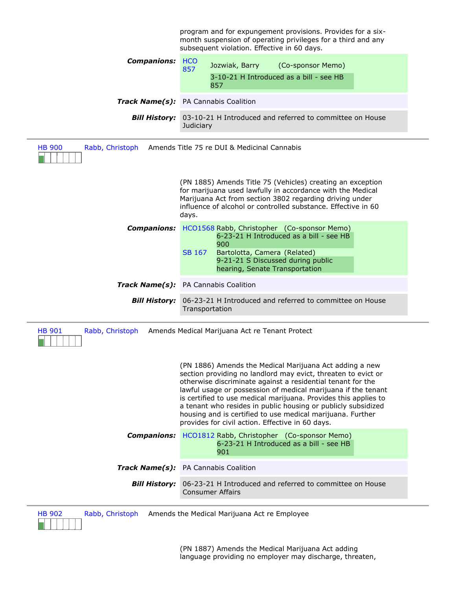|                                                                                 | program and for expungement provisions. Provides for a six-<br>month suspension of operating privileges for a third and any<br>subsequent violation. Effective in 60 days.                                                                                                                                                                                                                                                                                                                                     |  |  |
|---------------------------------------------------------------------------------|----------------------------------------------------------------------------------------------------------------------------------------------------------------------------------------------------------------------------------------------------------------------------------------------------------------------------------------------------------------------------------------------------------------------------------------------------------------------------------------------------------------|--|--|
| <b>Companions:</b>                                                              | <b>HCO</b><br>Jozwiak, Barry<br>(Co-sponsor Memo)<br>857                                                                                                                                                                                                                                                                                                                                                                                                                                                       |  |  |
|                                                                                 | 3-10-21 H Introduced as a bill - see HB<br>857                                                                                                                                                                                                                                                                                                                                                                                                                                                                 |  |  |
|                                                                                 | <b>Track Name(s):</b> PA Cannabis Coalition                                                                                                                                                                                                                                                                                                                                                                                                                                                                    |  |  |
| <b>Bill History:</b>                                                            | 03-10-21 H Introduced and referred to committee on House<br>Judiciary                                                                                                                                                                                                                                                                                                                                                                                                                                          |  |  |
| <b>HB 900</b><br>Amends Title 75 re DUI & Medicinal Cannabis<br>Rabb, Christoph |                                                                                                                                                                                                                                                                                                                                                                                                                                                                                                                |  |  |
|                                                                                 | (PN 1885) Amends Title 75 (Vehicles) creating an exception<br>for marijuana used lawfully in accordance with the Medical<br>Marijuana Act from section 3802 regarding driving under<br>influence of alcohol or controlled substance. Effective in 60<br>days.                                                                                                                                                                                                                                                  |  |  |
| <b>Companions:</b>                                                              | HCO1568 Rabb, Christopher (Co-sponsor Memo)<br>6-23-21 H Introduced as a bill - see HB<br>900<br>Bartolotta, Camera (Related)<br>SB 167<br>9-21-21 S Discussed during public<br>hearing, Senate Transportation                                                                                                                                                                                                                                                                                                 |  |  |
|                                                                                 | Track Name(s): PA Cannabis Coalition                                                                                                                                                                                                                                                                                                                                                                                                                                                                           |  |  |
| <b>Bill History:</b>                                                            | 06-23-21 H Introduced and referred to committee on House<br>Transportation                                                                                                                                                                                                                                                                                                                                                                                                                                     |  |  |
| <b>HB 901</b><br>Rabb, Christoph                                                | Amends Medical Marijuana Act re Tenant Protect                                                                                                                                                                                                                                                                                                                                                                                                                                                                 |  |  |
|                                                                                 | (PN 1886) Amends the Medical Marijuana Act adding a new<br>section providing no landlord may evict, threaten to evict or<br>otherwise discriminate against a residential tenant for the<br>lawful usage or possession of medical marijuana if the tenant<br>is certified to use medical marijuana. Provides this applies to<br>a tenant who resides in public housing or publicly subsidized<br>housing and is certified to use medical marijuana. Further<br>provides for civil action. Effective in 60 days. |  |  |
| <b>Companions:</b>                                                              | HCO1812 Rabb, Christopher (Co-sponsor Memo)<br>6-23-21 H Introduced as a bill - see HB<br>901                                                                                                                                                                                                                                                                                                                                                                                                                  |  |  |
| Track Name(s):                                                                  | PA Cannabis Coalition                                                                                                                                                                                                                                                                                                                                                                                                                                                                                          |  |  |
| <b>Bill History:</b>                                                            | 06-23-21 H Introduced and referred to committee on House<br><b>Consumer Affairs</b>                                                                                                                                                                                                                                                                                                                                                                                                                            |  |  |
| <b>HB 902</b>                                                                   | Rabb, Christoph Amends the Medical Marijuana Act re Employee                                                                                                                                                                                                                                                                                                                                                                                                                                                   |  |  |

HB 902 Rabb, Christoph Amends the Medical Marijuana Act re Employ<br>Encyclopedia

(PN 1887) Amends the Medical Marijuana Act adding language providing no employer may discharge, threaten,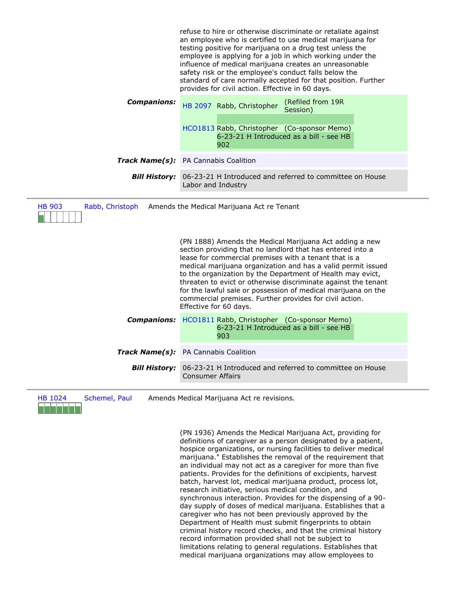|                                                                                                                                                                                                                                                                                                                                                                                                                                                                                                                                      | refuse to hire or otherwise discriminate or retaliate against<br>an employee who is certified to use medical marijuana for<br>testing positive for marijuana on a drug test unless the<br>employee is applying for a job in which working under the<br>influence of medical marijuana creates an unreasonable<br>safety risk or the employee's conduct falls below the<br>standard of care normally accepted for that position. Further<br>provides for civil action. Effective in 60 days. |  |
|--------------------------------------------------------------------------------------------------------------------------------------------------------------------------------------------------------------------------------------------------------------------------------------------------------------------------------------------------------------------------------------------------------------------------------------------------------------------------------------------------------------------------------------|---------------------------------------------------------------------------------------------------------------------------------------------------------------------------------------------------------------------------------------------------------------------------------------------------------------------------------------------------------------------------------------------------------------------------------------------------------------------------------------------|--|
| <b>Companions:</b>                                                                                                                                                                                                                                                                                                                                                                                                                                                                                                                   | (Refiled from 19R<br>HB 2097 Rabb, Christopher<br>Session)<br>HCO1813 Rabb, Christopher (Co-sponsor Memo)<br>6-23-21 H Introduced as a bill - see HB<br>902                                                                                                                                                                                                                                                                                                                                 |  |
|                                                                                                                                                                                                                                                                                                                                                                                                                                                                                                                                      | Track Name(s): PA Cannabis Coalition                                                                                                                                                                                                                                                                                                                                                                                                                                                        |  |
| <b>Bill History:</b>                                                                                                                                                                                                                                                                                                                                                                                                                                                                                                                 | 06-23-21 H Introduced and referred to committee on House<br>Labor and Industry                                                                                                                                                                                                                                                                                                                                                                                                              |  |
| <b>HB 903</b><br>Amends the Medical Marijuana Act re Tenant<br>Rabb, Christoph                                                                                                                                                                                                                                                                                                                                                                                                                                                       |                                                                                                                                                                                                                                                                                                                                                                                                                                                                                             |  |
| (PN 1888) Amends the Medical Marijuana Act adding a new<br>section providing that no landlord that has entered into a<br>lease for commercial premises with a tenant that is a<br>medical marijuana organization and has a valid permit issued<br>to the organization by the Department of Health may evict,<br>threaten to evict or otherwise discriminate against the tenant<br>for the lawful sale or possession of medical marijuana on the<br>commercial premises. Further provides for civil action.<br>Effective for 60 days. |                                                                                                                                                                                                                                                                                                                                                                                                                                                                                             |  |
| <b>Companions:</b>                                                                                                                                                                                                                                                                                                                                                                                                                                                                                                                   | HCO1811 Rabb, Christopher (Co-sponsor Memo)<br>6-23-21 H Introduced as a bill - see HB<br>903                                                                                                                                                                                                                                                                                                                                                                                               |  |
|                                                                                                                                                                                                                                                                                                                                                                                                                                                                                                                                      | <b>Track Name(s):</b> PA Cannabis Coalition                                                                                                                                                                                                                                                                                                                                                                                                                                                 |  |
| <b>Bill History:</b>                                                                                                                                                                                                                                                                                                                                                                                                                                                                                                                 | 06-23-21 H Introduced and referred to committee on House<br><b>Consumer Affairs</b>                                                                                                                                                                                                                                                                                                                                                                                                         |  |

HB 1024 Schemel, Paul Amends Medical Marijuana Act re revisions.

(PN 1936) Amends the Medical Marijuana Act, providing for definitions of caregiver as a person designated by a patient, hospice organizations, or nursing facilities to deliver medical marijuana." Establishes the removal of the requirement that an individual may not act as a caregiver for more than five patients. Provides for the definitions of excipients, harvest batch, harvest lot, medical marijuana product, process lot, research initiative, serious medical condition, and synchronous interaction. Provides for the dispensing of a 90 day supply of doses of medical marijuana. Establishes that a caregiver who has not been previously approved by the Department of Health must submit fingerprints to obtain criminal history record checks, and that the criminal history record information provided shall not be subject to limitations relating to general regulations. Establishes that medical marijuana organizations may allow employees to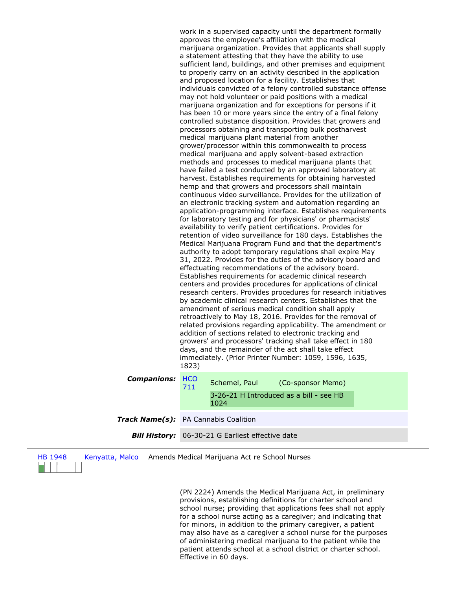work in a supervised capacity until the department formally approves the employee's affiliation with the medical marijuana organization. Provides that applicants shall supply a statement attesting that they have the ability to use sufficient land, buildings, and other premises and equipment to properly carry on an activity described in the application and proposed location for a facility. Establishes that individuals convicted of a felony controlled substance offense may not hold volunteer or paid positions with a medical marijuana organization and for exceptions for persons if it has been 10 or more years since the entry of a final felony controlled substance disposition. Provides that growers and processors obtaining and transporting bulk postharvest medical marijuana plant material from another grower/processor within this commonwealth to process medical marijuana and apply solvent-based extraction methods and processes to medical marijuana plants that have failed a test conducted by an approved laboratory at harvest. Establishes requirements for obtaining harvested hemp and that growers and processors shall maintain continuous video surveillance. Provides for the utilization of an electronic tracking system and automation regarding an application-programming interface. Establishes requirements for laboratory testing and for physicians' or pharmacists' availability to verify patient certifications. Provides for retention of video surveillance for 180 days. Establishes the Medical Marijuana Program Fund and that the department's authority to adopt temporary regulations shall expire May 31, 2022. Provides for the duties of the advisory board and effectuating recommendations of the advisory board. Establishes requirements for academic clinical research centers and provides procedures for applications of clinical research centers. Provides procedures for research initiatives by academic clinical research centers. Establishes that the amendment of serious medical condition shall apply retroactively to May 18, 2016. Provides for the removal of related provisions regarding applicability. The amendment or addition of sections related to electronic tracking and growers' and processors' tracking shall take effect in 180 days, and the remainder of the act shall take effect immediately. (Prior Printer Number: 1059, 1596, 1635, 1823)

*Companions:* HCO

711 Schemel, Paul (Co-sponsor Memo) 3-26-21 H Introduced as a bill - see HB 1024

- *Track Name(s):* PA Cannabis Coalition
	- *Bill History:* 06-30-21 G Earliest effective date

| н | н | q<br>1 | 48 |  |
|---|---|--------|----|--|
|   |   |        |    |  |

Kenyatta, Malco Amends Medical Marijuana Act re School Nurses

(PN 2224) Amends the Medical Marijuana Act, in preliminary provisions, establishing definitions for charter school and school nurse; providing that applications fees shall not apply for a school nurse acting as a caregiver; and indicating that for minors, in addition to the primary caregiver, a patient may also have as a caregiver a school nurse for the purposes of administering medical marijuana to the patient while the patient attends school at a school district or charter school. Effective in 60 days.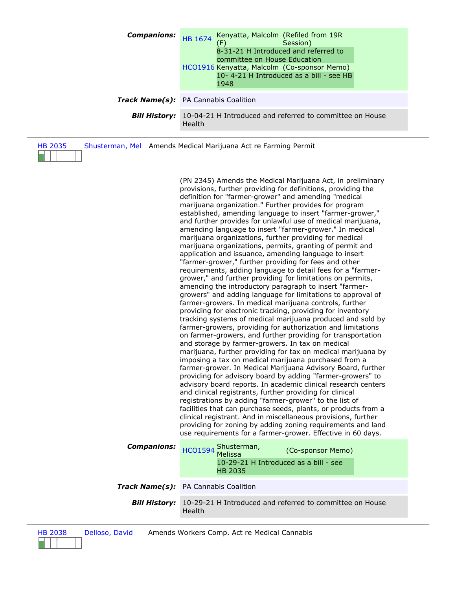| <b>Companions:</b>   | Kenyatta, Malcolm (Refiled from 19R<br>HB 1674<br>(F)<br>Session)<br>8-31-21 H Introduced and referred to<br>committee on House Education<br>HCO1916 Kenyatta, Malcolm (Co-sponsor Memo)<br>10-4-21 H Introduced as a bill - see HB<br>1948 |  |
|----------------------|---------------------------------------------------------------------------------------------------------------------------------------------------------------------------------------------------------------------------------------------|--|
|                      | Track Name(s): PA Cannabis Coalition                                                                                                                                                                                                        |  |
| <b>Bill History:</b> | 10-04-21 H Introduced and referred to committee on House<br>Health                                                                                                                                                                          |  |

| HB 2035        | Shusterman, Mel Amends Medical Marijuana Act re Farming Permit |
|----------------|----------------------------------------------------------------|
| <b>STARTED</b> |                                                                |

(PN 2345) Amends the Medical Marijuana Act, in preliminary provisions, further providing for definitions, providing the definition for "farmer-grower" and amending "medical marijuana organization." Further provides for program established, amending language to insert "farmer-grower," and further provides for unlawful use of medical marijuana, amending language to insert "farmer-grower." In medical marijuana organizations, further providing for medical marijuana organizations, permits, granting of permit and application and issuance, amending language to insert "farmer-grower," further providing for fees and other requirements, adding language to detail fees for a "farmergrower," and further providing for limitations on permits, amending the introductory paragraph to insert "farmergrowers" and adding language for limitations to approval of farmer-growers. In medical marijuana controls, further providing for electronic tracking, providing for inventory tracking systems of medical marijuana produced and sold by farmer-growers, providing for authorization and limitations on farmer-growers, and further providing for transportation and storage by farmer-growers. In tax on medical marijuana, further providing for tax on medical marijuana by imposing a tax on medical marijuana purchased from a farmer-grower. In Medical Marijuana Advisory Board, further providing for advisory board by adding "farmer-growers" to advisory board reports. In academic clinical research centers and clinical registrants, further providing for clinical registrations by adding "farmer-grower" to the list of facilities that can purchase seeds, plants, or products from a clinical registrant. And in miscellaneous provisions, further providing for zoning by adding zoning requirements and land use requirements for a farmer-grower. Effective in 60 days.

| <b>Companions:</b>   | HCO1594 Shusterman,<br>(Co-sponsor Memo)<br>10-29-21 H Introduced as a bill - see<br><b>HB 2035</b> |  |
|----------------------|-----------------------------------------------------------------------------------------------------|--|
|                      | <b>Track Name(s):</b> PA Cannabis Coalition                                                         |  |
| <b>Bill History:</b> | 10-29-21 H Introduced and referred to committee on House<br>Health                                  |  |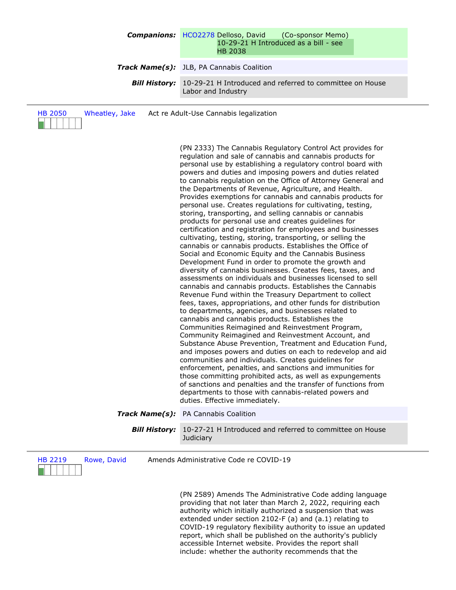## **Companions:** HCO2278 Delloso, David (Co-sponsor Memo) 10-29-21 H Introduced as a bill - see HB 2038

## *Track Name(s):* JLB, PA Cannabis Coalition

**Bill History:** 10-29-21 H Introduced and referred to committee on House Labor and Industry

| Wheatley, Jake<br><b>HB 2050</b> | Act re Adult-Use Cannabis legalization                                                                                                                                                                                                                                                                                                                                                                                                                                                                                                                                                                                                                                                                                                                                                                                                                                                                                                                                                                                                                                                                                                                                                                                                                                                                                                                                                                                                                                                                                                                                                                                                                                                                                                                                                                                                                                                                                                             |
|----------------------------------|----------------------------------------------------------------------------------------------------------------------------------------------------------------------------------------------------------------------------------------------------------------------------------------------------------------------------------------------------------------------------------------------------------------------------------------------------------------------------------------------------------------------------------------------------------------------------------------------------------------------------------------------------------------------------------------------------------------------------------------------------------------------------------------------------------------------------------------------------------------------------------------------------------------------------------------------------------------------------------------------------------------------------------------------------------------------------------------------------------------------------------------------------------------------------------------------------------------------------------------------------------------------------------------------------------------------------------------------------------------------------------------------------------------------------------------------------------------------------------------------------------------------------------------------------------------------------------------------------------------------------------------------------------------------------------------------------------------------------------------------------------------------------------------------------------------------------------------------------------------------------------------------------------------------------------------------------|
|                                  | (PN 2333) The Cannabis Regulatory Control Act provides for<br>regulation and sale of cannabis and cannabis products for<br>personal use by establishing a regulatory control board with<br>powers and duties and imposing powers and duties related<br>to cannabis regulation on the Office of Attorney General and<br>the Departments of Revenue, Agriculture, and Health.<br>Provides exemptions for cannabis and cannabis products for<br>personal use. Creates regulations for cultivating, testing,<br>storing, transporting, and selling cannabis or cannabis<br>products for personal use and creates guidelines for<br>certification and registration for employees and businesses<br>cultivating, testing, storing, transporting, or selling the<br>cannabis or cannabis products. Establishes the Office of<br>Social and Economic Equity and the Cannabis Business<br>Development Fund in order to promote the growth and<br>diversity of cannabis businesses. Creates fees, taxes, and<br>assessments on individuals and businesses licensed to sell<br>cannabis and cannabis products. Establishes the Cannabis<br>Revenue Fund within the Treasury Department to collect<br>fees, taxes, appropriations, and other funds for distribution<br>to departments, agencies, and businesses related to<br>cannabis and cannabis products. Establishes the<br>Communities Reimagined and Reinvestment Program,<br>Community Reimagined and Reinvestment Account, and<br>Substance Abuse Prevention, Treatment and Education Fund,<br>and imposes powers and duties on each to redevelop and aid<br>communities and individuals. Creates guidelines for<br>enforcement, penalties, and sanctions and immunities for<br>those committing prohibited acts, as well as expungements<br>of sanctions and penalties and the transfer of functions from<br>departments to those with cannabis-related powers and<br>duties. Effective immediately. |
|                                  | Track Name(s): PA Cannabis Coalition                                                                                                                                                                                                                                                                                                                                                                                                                                                                                                                                                                                                                                                                                                                                                                                                                                                                                                                                                                                                                                                                                                                                                                                                                                                                                                                                                                                                                                                                                                                                                                                                                                                                                                                                                                                                                                                                                                               |
| <b>Bill History:</b>             | 10-27-21 H Introduced and referred to committee on House<br>Judiciary                                                                                                                                                                                                                                                                                                                                                                                                                                                                                                                                                                                                                                                                                                                                                                                                                                                                                                                                                                                                                                                                                                                                                                                                                                                                                                                                                                                                                                                                                                                                                                                                                                                                                                                                                                                                                                                                              |
| <b>HB 2219</b><br>Rowe, David    | Amends Administrative Code re COVID-19                                                                                                                                                                                                                                                                                                                                                                                                                                                                                                                                                                                                                                                                                                                                                                                                                                                                                                                                                                                                                                                                                                                                                                                                                                                                                                                                                                                                                                                                                                                                                                                                                                                                                                                                                                                                                                                                                                             |

(PN 2589) Amends The Administrative Code adding language providing that not later than March 2, 2022, requiring each authority which initially authorized a suspension that was extended under section 2102-F (a) and (a.1) relating to COVID-19 regulatory flexibility authority to issue an updated report, which shall be published on the authority's publicly accessible Internet website. Provides the report shall include: whether the authority recommends that the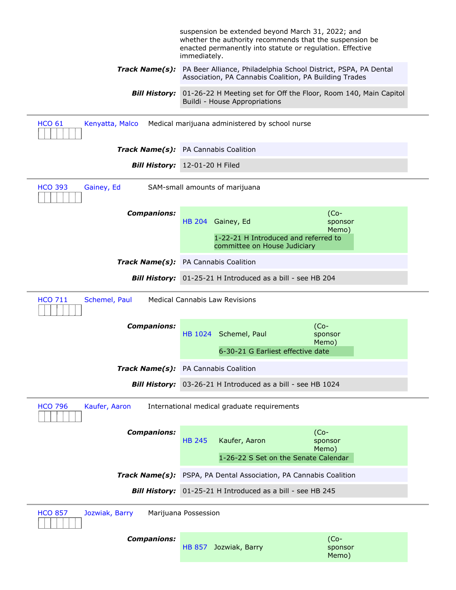|                                                                                | suspension be extended beyond March 31, 2022; and<br>whether the authority recommends that the suspension be<br>enacted permanently into statute or regulation. Effective<br>immediately. |                             |
|--------------------------------------------------------------------------------|-------------------------------------------------------------------------------------------------------------------------------------------------------------------------------------------|-----------------------------|
|                                                                                | Track Name(s): PA Beer Alliance, Philadelphia School District, PSPA, PA Dental<br>Association, PA Cannabis Coalition, PA Building Trades                                                  |                             |
| <b>Bill History:</b>                                                           | 01-26-22 H Meeting set for Off the Floor, Room 140, Main Capitol<br>Buildi - House Appropriations                                                                                         |                             |
| <b>HCO 61</b><br>Kenyatta, Malco                                               | Medical marijuana administered by school nurse                                                                                                                                            |                             |
|                                                                                | Track Name(s): PA Cannabis Coalition                                                                                                                                                      |                             |
|                                                                                | Bill History: 12-01-20 H Filed                                                                                                                                                            |                             |
| <b>HCO 393</b><br>Gainey, Ed                                                   | SAM-small amounts of marijuana                                                                                                                                                            |                             |
| <b>Companions:</b>                                                             | HB 204 Gainey, Ed                                                                                                                                                                         | $(Co-$<br>sponsor<br>Memo)  |
|                                                                                | 1-22-21 H Introduced and referred to<br>committee on House Judiciary                                                                                                                      |                             |
|                                                                                | Track Name(s): PA Cannabis Coalition                                                                                                                                                      |                             |
| <b>Bill History:</b>                                                           | 01-25-21 H Introduced as a bill - see HB 204                                                                                                                                              |                             |
| <b>Medical Cannabis Law Revisions</b><br><b>HCO 711</b><br>Schemel, Paul       |                                                                                                                                                                                           |                             |
| <b>Companions:</b>                                                             | HB 1024 Schemel, Paul                                                                                                                                                                     | $(Co-$<br>sponsor<br>Memo)  |
|                                                                                | 6-30-21 G Earliest effective date                                                                                                                                                         |                             |
|                                                                                | Track Name(s): PA Cannabis Coalition                                                                                                                                                      |                             |
| <b>Bill History:</b>                                                           | 03-26-21 H Introduced as a bill - see HB 1024                                                                                                                                             |                             |
| <b>HCO 796</b><br>Kaufer, Aaron<br>International medical graduate requirements |                                                                                                                                                                                           |                             |
| <b>Companions:</b>                                                             | <b>HB 245</b><br>Kaufer, Aaron                                                                                                                                                            | $(Co -$<br>sponsor<br>Memo) |
|                                                                                | 1-26-22 S Set on the Senate Calendar                                                                                                                                                      |                             |
| <b>Track Name(s):</b>                                                          | PSPA, PA Dental Association, PA Cannabis Coalition                                                                                                                                        |                             |
| <b>Bill History:</b>                                                           | 01-25-21 H Introduced as a bill - see HB 245                                                                                                                                              |                             |
| <b>HCO 857</b><br>Jozwiak, Barry<br>Marijuana Possession                       |                                                                                                                                                                                           |                             |
|                                                                                |                                                                                                                                                                                           |                             |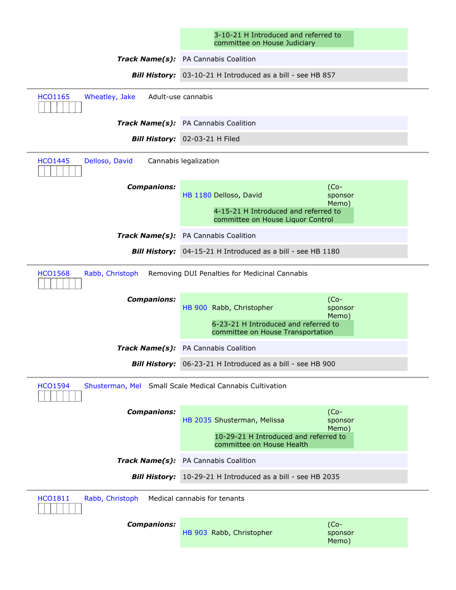| 3-10-21 H Introduced and referred to |
|--------------------------------------|
| committee on House Judiciary         |

|                                                                   | 3-10-21 H Introduced and referred to<br>committee on House Judiciary                                                                                   |                             |
|-------------------------------------------------------------------|--------------------------------------------------------------------------------------------------------------------------------------------------------|-----------------------------|
|                                                                   | Track Name(s): PA Cannabis Coalition                                                                                                                   |                             |
|                                                                   | Bill History: 03-10-21 H Introduced as a bill - see HB 857                                                                                             |                             |
| <b>HCO1165</b><br>Wheatley, Jake                                  | Adult-use cannabis                                                                                                                                     |                             |
|                                                                   | Track Name(s): PA Cannabis Coalition                                                                                                                   |                             |
|                                                                   | Bill History: 02-03-21 H Filed                                                                                                                         |                             |
| <b>HCO1445</b><br>Delloso, David                                  | Cannabis legalization                                                                                                                                  |                             |
| <b>Companions:</b>                                                | HB 1180 Delloso, David<br>4-15-21 H Introduced and referred to<br>committee on House Liquor Control                                                    | $(Co -$<br>sponsor<br>Memo) |
|                                                                   | Track Name(s): PA Cannabis Coalition                                                                                                                   |                             |
|                                                                   | Bill History: 04-15-21 H Introduced as a bill - see HB 1180                                                                                            |                             |
| <b>HCO1568</b><br>Rabb, Christoph<br><b>Companions:</b>           | Removing DUI Penalties for Medicinal Cannabis<br>HB 900 Rabb, Christopher<br>6-23-21 H Introduced and referred to<br>committee on House Transportation | $(Co-$<br>sponsor<br>Memo)  |
| Track Name(s):                                                    | PA Cannabis Coalition                                                                                                                                  |                             |
|                                                                   | Bill History: 06-23-21 H Introduced as a bill - see HB 900                                                                                             |                             |
| <b>HCO1594</b>                                                    | Shusterman, Mel Small Scale Medical Cannabis Cultivation                                                                                               |                             |
| <b>Companions:</b>                                                | HB 2035 Shusterman, Melissa<br>10-29-21 H Introduced and referred to<br>committee on House Health                                                      | $(Co-$<br>sponsor<br>Memo)  |
|                                                                   | Track Name(s): PA Cannabis Coalition                                                                                                                   |                             |
| <b>Bill History:</b>                                              | 10-29-21 H Introduced as a bill - see HB 2035                                                                                                          |                             |
| Rabb, Christoph<br><b>HCO1811</b><br>Medical cannabis for tenants |                                                                                                                                                        |                             |
| <b>Companions:</b>                                                | HB 903 Rabb, Christopher                                                                                                                               | $(Co-$<br>sponsor<br>Memo)  |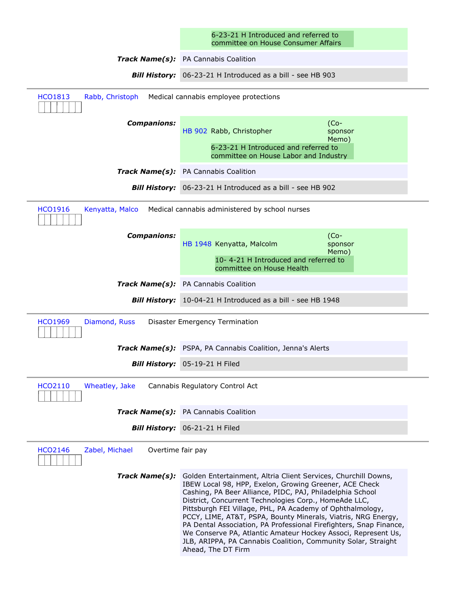|                                                       | 6-23-21 H Introduced and referred to<br>committee on House Consumer Affairs                                                                                                                                                                                                                                                                                                                                                                                                                                                                                                                                |  |
|-------------------------------------------------------|------------------------------------------------------------------------------------------------------------------------------------------------------------------------------------------------------------------------------------------------------------------------------------------------------------------------------------------------------------------------------------------------------------------------------------------------------------------------------------------------------------------------------------------------------------------------------------------------------------|--|
|                                                       | Track Name(s): PA Cannabis Coalition                                                                                                                                                                                                                                                                                                                                                                                                                                                                                                                                                                       |  |
|                                                       | Bill History: 06-23-21 H Introduced as a bill - see HB 903                                                                                                                                                                                                                                                                                                                                                                                                                                                                                                                                                 |  |
| <b>HCO1813</b><br>Rabb, Christoph                     | Medical cannabis employee protections                                                                                                                                                                                                                                                                                                                                                                                                                                                                                                                                                                      |  |
| <b>Companions:</b>                                    | $(Co-$<br>HB 902 Rabb, Christopher<br>sponsor<br>Memo)<br>6-23-21 H Introduced and referred to<br>committee on House Labor and Industry                                                                                                                                                                                                                                                                                                                                                                                                                                                                    |  |
|                                                       | Track Name(s): PA Cannabis Coalition                                                                                                                                                                                                                                                                                                                                                                                                                                                                                                                                                                       |  |
|                                                       | Bill History: 06-23-21 H Introduced as a bill - see HB 902                                                                                                                                                                                                                                                                                                                                                                                                                                                                                                                                                 |  |
| <b>HCO1916</b><br>Kenyatta, Malco                     | Medical cannabis administered by school nurses                                                                                                                                                                                                                                                                                                                                                                                                                                                                                                                                                             |  |
| <b>Companions:</b>                                    | $(Co-$<br>HB 1948 Kenyatta, Malcolm<br>sponsor<br>Memo)<br>10-4-21 H Introduced and referred to<br>committee on House Health                                                                                                                                                                                                                                                                                                                                                                                                                                                                               |  |
|                                                       | Track Name(s): PA Cannabis Coalition                                                                                                                                                                                                                                                                                                                                                                                                                                                                                                                                                                       |  |
|                                                       | Bill History: 10-04-21 H Introduced as a bill - see HB 1948                                                                                                                                                                                                                                                                                                                                                                                                                                                                                                                                                |  |
| <b>HCO1969</b><br>Diamond, Russ                       | Disaster Emergency Termination                                                                                                                                                                                                                                                                                                                                                                                                                                                                                                                                                                             |  |
|                                                       | Track Name(s): PSPA, PA Cannabis Coalition, Jenna's Alerts                                                                                                                                                                                                                                                                                                                                                                                                                                                                                                                                                 |  |
|                                                       | <b>Bill History:</b> 05-19-21 H Filed                                                                                                                                                                                                                                                                                                                                                                                                                                                                                                                                                                      |  |
| HCO2110<br>Wheatley, Jake                             | Cannabis Regulatory Control Act                                                                                                                                                                                                                                                                                                                                                                                                                                                                                                                                                                            |  |
|                                                       | Track Name(s): PA Cannabis Coalition                                                                                                                                                                                                                                                                                                                                                                                                                                                                                                                                                                       |  |
|                                                       | Bill History: 06-21-21 H Filed                                                                                                                                                                                                                                                                                                                                                                                                                                                                                                                                                                             |  |
| <b>HCO2146</b><br>Zabel, Michael<br>Overtime fair pay |                                                                                                                                                                                                                                                                                                                                                                                                                                                                                                                                                                                                            |  |
| Track Name(s):                                        | Golden Entertainment, Altria Client Services, Churchill Downs,<br>IBEW Local 98, HPP, Exelon, Growing Greener, ACE Check<br>Cashing, PA Beer Alliance, PIDC, PAJ, Philadelphia School<br>District, Concurrent Technologies Corp., HomeAde LLC,<br>Pittsburgh FEI Village, PHL, PA Academy of Ophthalmology,<br>PCCY, LIME, AT&T, PSPA, Bounty Minerals, Viatris, NRG Energy,<br>PA Dental Association, PA Professional Firefighters, Snap Finance,<br>We Conserve PA, Atlantic Amateur Hockey Associ, Represent Us,<br>JLB, ARIPPA, PA Cannabis Coalition, Community Solar, Straight<br>Ahead, The DT Firm |  |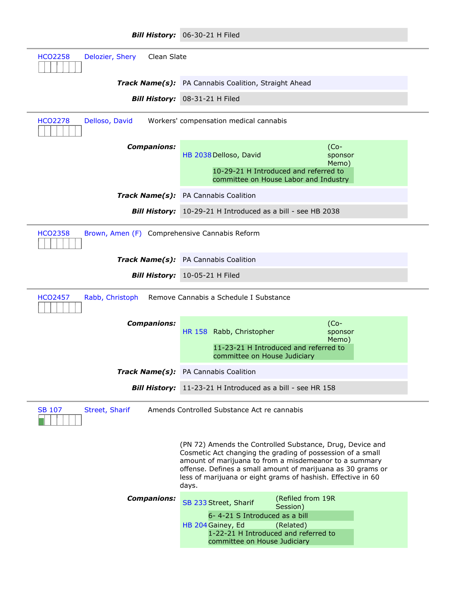|                                                                 | Bill History: 06-30-21 H Filed                                                                                                                                                                                                                                                                                            |  |  |  |
|-----------------------------------------------------------------|---------------------------------------------------------------------------------------------------------------------------------------------------------------------------------------------------------------------------------------------------------------------------------------------------------------------------|--|--|--|
| Delozier, Shery<br>Clean Slate<br><b>HCO2258</b>                |                                                                                                                                                                                                                                                                                                                           |  |  |  |
|                                                                 | <b>Track Name(s):</b> PA Cannabis Coalition, Straight Ahead                                                                                                                                                                                                                                                               |  |  |  |
|                                                                 | <b>Bill History:</b> 08-31-21 H Filed                                                                                                                                                                                                                                                                                     |  |  |  |
| Delloso, David<br><b>HCO2278</b>                                | Workers' compensation medical cannabis                                                                                                                                                                                                                                                                                    |  |  |  |
| <b>Companions:</b>                                              | $(Co-$<br>HB 2038 Delloso, David<br>sponsor                                                                                                                                                                                                                                                                               |  |  |  |
|                                                                 | Memo)<br>10-29-21 H Introduced and referred to<br>committee on House Labor and Industry                                                                                                                                                                                                                                   |  |  |  |
|                                                                 | Track Name(s): PA Cannabis Coalition                                                                                                                                                                                                                                                                                      |  |  |  |
| <b>Bill History:</b>                                            | 10-29-21 H Introduced as a bill - see HB 2038                                                                                                                                                                                                                                                                             |  |  |  |
| Brown, Amen (F) Comprehensive Cannabis Reform<br><b>HCO2358</b> |                                                                                                                                                                                                                                                                                                                           |  |  |  |
|                                                                 | Track Name(s): PA Cannabis Coalition                                                                                                                                                                                                                                                                                      |  |  |  |
|                                                                 | <b>Bill History:</b> 10-05-21 H Filed                                                                                                                                                                                                                                                                                     |  |  |  |
| Rabb, Christoph<br><b>HCO2457</b>                               | Remove Cannabis a Schedule I Substance                                                                                                                                                                                                                                                                                    |  |  |  |
| <b>Companions:</b>                                              | $(Co-$<br>HR 158 Rabb, Christopher<br>sponsor                                                                                                                                                                                                                                                                             |  |  |  |
|                                                                 | Memo)<br>11-23-21 H Introduced and referred to<br>committee on House Judiciary                                                                                                                                                                                                                                            |  |  |  |
|                                                                 | Track Name(s): PA Cannabis Coalition                                                                                                                                                                                                                                                                                      |  |  |  |
|                                                                 | Bill History: 11-23-21 H Introduced as a bill - see HR 158                                                                                                                                                                                                                                                                |  |  |  |
| SB 107<br>Street, Sharif                                        | Amends Controlled Substance Act re cannabis                                                                                                                                                                                                                                                                               |  |  |  |
|                                                                 | (PN 72) Amends the Controlled Substance, Drug, Device and<br>Cosmetic Act changing the grading of possession of a small<br>amount of marijuana to from a misdemeanor to a summary<br>offense. Defines a small amount of marijuana as 30 grams or<br>less of marijuana or eight grams of hashish. Effective in 60<br>days. |  |  |  |
| <b>Companions:</b>                                              | (Refiled from 19R<br>SB 233 Street, Sharif<br>Session)<br>6-4-21 S Introduced as a bill<br>HB 204 Gainey, Ed<br>(Related)<br>1-22-21 H Introduced and referred to<br>committee on House Judiciary                                                                                                                         |  |  |  |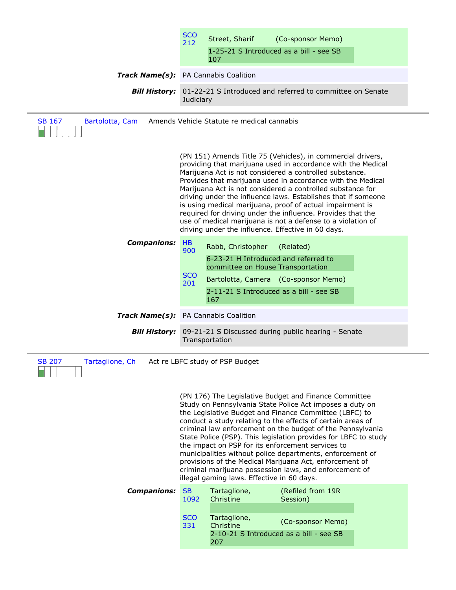|                                                                                | <b>SCO</b><br>212                     | Street, Sharif<br>107                                  | (Co-sponsor Memo)<br>1-25-21 S Introduced as a bill - see SB                                                                                                                                                                                                                                                                                                                                                                                                                                                                                                                                                                          |  |
|--------------------------------------------------------------------------------|---------------------------------------|--------------------------------------------------------|---------------------------------------------------------------------------------------------------------------------------------------------------------------------------------------------------------------------------------------------------------------------------------------------------------------------------------------------------------------------------------------------------------------------------------------------------------------------------------------------------------------------------------------------------------------------------------------------------------------------------------------|--|
| Track Name(s): PA Cannabis Coalition                                           |                                       |                                                        |                                                                                                                                                                                                                                                                                                                                                                                                                                                                                                                                                                                                                                       |  |
| <b>Bill History:</b>                                                           | Judiciary                             |                                                        | 01-22-21 S Introduced and referred to committee on Senate                                                                                                                                                                                                                                                                                                                                                                                                                                                                                                                                                                             |  |
| <b>SB 167</b><br>Bartolotta, Cam<br>Amends Vehicle Statute re medical cannabis |                                       |                                                        |                                                                                                                                                                                                                                                                                                                                                                                                                                                                                                                                                                                                                                       |  |
|                                                                                |                                       |                                                        | (PN 151) Amends Title 75 (Vehicles), in commercial drivers,<br>providing that marijuana used in accordance with the Medical<br>Marijuana Act is not considered a controlled substance.<br>Provides that marijuana used in accordance with the Medical<br>Marijuana Act is not considered a controlled substance for<br>driving under the influence laws. Establishes that if someone<br>is using medical marijuana, proof of actual impairment is<br>required for driving under the influence. Provides that the<br>use of medical marijuana is not a defense to a violation of<br>driving under the influence. Effective in 60 days. |  |
| <b>Companions:</b>                                                             | <b>HB</b><br>900<br><b>SCO</b><br>201 | Rabb, Christopher<br>committee on House Transportation | (Related)<br>6-23-21 H Introduced and referred to<br>Bartolotta, Camera (Co-sponsor Memo)<br>2-11-21 S Introduced as a bill - see SB                                                                                                                                                                                                                                                                                                                                                                                                                                                                                                  |  |
| Track Name(s): PA Cannabis Coalition                                           |                                       | 167                                                    |                                                                                                                                                                                                                                                                                                                                                                                                                                                                                                                                                                                                                                       |  |
| <b>Bill History:</b>                                                           |                                       | Transportation                                         | 09-21-21 S Discussed during public hearing - Senate                                                                                                                                                                                                                                                                                                                                                                                                                                                                                                                                                                                   |  |
| Tartaglione, Ch<br>Act re LBFC study of PSP Budget<br><b>SB 207</b>            |                                       |                                                        |                                                                                                                                                                                                                                                                                                                                                                                                                                                                                                                                                                                                                                       |  |
|                                                                                |                                       | illegal gaming laws. Effective in 60 days.             | (PN 176) The Legislative Budget and Finance Committee<br>Study on Pennsylvania State Police Act imposes a duty on<br>the Legislative Budget and Finance Committee (LBFC) to<br>conduct a study relating to the effects of certain areas of<br>criminal law enforcement on the budget of the Pennsylvania<br>State Police (PSP). This legislation provides for LBFC to study<br>the impact on PSP for its enforcement services to<br>municipalities without police departments, enforcement of<br>provisions of the Medical Marijuana Act, enforcement of<br>criminal marijuana possession laws, and enforcement of                    |  |
| <b>Companions:</b>                                                             | <b>SB</b><br>1092                     | Tartaglione,<br>Christine                              | (Refiled from 19R<br>Session)                                                                                                                                                                                                                                                                                                                                                                                                                                                                                                                                                                                                         |  |
|                                                                                | <b>SCO</b><br>331                     | Tartaglione,<br>Christine<br>207                       | (Co-sponsor Memo)<br>2-10-21 S Introduced as a bill - see SB                                                                                                                                                                                                                                                                                                                                                                                                                                                                                                                                                                          |  |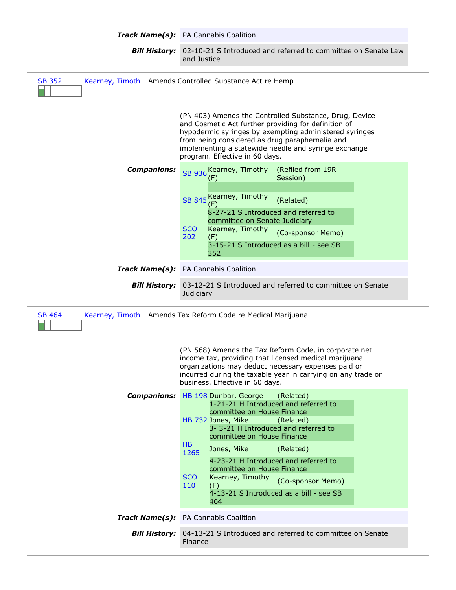|                                                                                                                                                                                                                                                                                                                                                          | Track Name(s): PA Cannabis Coalition                                                                                                                                                                                                                                                                                                                                                                                                                            |  |  |  |
|----------------------------------------------------------------------------------------------------------------------------------------------------------------------------------------------------------------------------------------------------------------------------------------------------------------------------------------------------------|-----------------------------------------------------------------------------------------------------------------------------------------------------------------------------------------------------------------------------------------------------------------------------------------------------------------------------------------------------------------------------------------------------------------------------------------------------------------|--|--|--|
| <b>Bill History:</b>                                                                                                                                                                                                                                                                                                                                     | 02-10-21 S Introduced and referred to committee on Senate Law<br>and Justice                                                                                                                                                                                                                                                                                                                                                                                    |  |  |  |
| Kearney, Timoth Amends Controlled Substance Act re Hemp<br><b>SB 352</b>                                                                                                                                                                                                                                                                                 |                                                                                                                                                                                                                                                                                                                                                                                                                                                                 |  |  |  |
|                                                                                                                                                                                                                                                                                                                                                          | (PN 403) Amends the Controlled Substance, Drug, Device<br>and Cosmetic Act further providing for definition of<br>hypodermic syringes by exempting administered syringes<br>from being considered as drug paraphernalia and<br>implementing a statewide needle and syringe exchange<br>program. Effective in 60 days.                                                                                                                                           |  |  |  |
| <b>Companions:</b>                                                                                                                                                                                                                                                                                                                                       | SB 936 Kearney, Timothy (Refiled from 19R<br>Session)<br>(F)<br>Kearney, Timothy<br><b>SB 845</b><br>(Related)<br>(F)<br>8-27-21 S Introduced and referred to<br>committee on Senate Judiciary<br><b>SCO</b><br>Kearney, Timothy<br>(Co-sponsor Memo)<br>202<br>(F)<br>3-15-21 S Introduced as a bill - see SB<br>352                                                                                                                                           |  |  |  |
|                                                                                                                                                                                                                                                                                                                                                          | Track Name(s): PA Cannabis Coalition                                                                                                                                                                                                                                                                                                                                                                                                                            |  |  |  |
| <b>Bill History:</b>                                                                                                                                                                                                                                                                                                                                     | 03-12-21 S Introduced and referred to committee on Senate<br>Judiciary                                                                                                                                                                                                                                                                                                                                                                                          |  |  |  |
| Kearney, Timoth Amends Tax Reform Code re Medical Marijuana<br><b>SB 464</b><br>(PN 568) Amends the Tax Reform Code, in corporate net<br>income tax, providing that licensed medical marijuana<br>organizations may deduct necessary expenses paid or<br>incurred during the taxable year in carrying on any trade or<br>business. Effective in 60 days. |                                                                                                                                                                                                                                                                                                                                                                                                                                                                 |  |  |  |
| <b>Companions:</b>                                                                                                                                                                                                                                                                                                                                       | HB 198 Dunbar, George<br>(Related)<br>1-21-21 H Introduced and referred to<br>committee on House Finance<br>HB 732 Jones, Mike<br>(Related)<br>3-3--21 H Introduced and referred to<br>committee on House Finance<br><b>HB</b><br>Jones, Mike<br>(Related)<br>1265<br>4-23-21 H Introduced and referred to<br>committee on House Finance<br><b>SCO</b><br>Kearney, Timothy<br>(Co-sponsor Memo)<br>110<br>(F)<br>4-13-21 S Introduced as a bill - see SB<br>464 |  |  |  |
|                                                                                                                                                                                                                                                                                                                                                          | Track Name(s): PA Cannabis Coalition                                                                                                                                                                                                                                                                                                                                                                                                                            |  |  |  |
| <b>Bill History:</b>                                                                                                                                                                                                                                                                                                                                     | 04-13-21 S Introduced and referred to committee on Senate<br>Finance                                                                                                                                                                                                                                                                                                                                                                                            |  |  |  |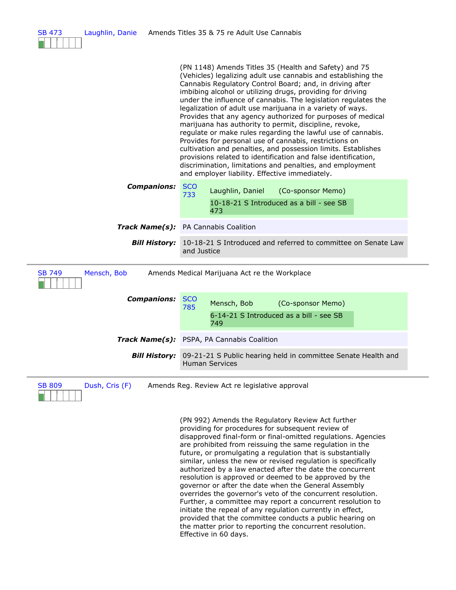| <b>SB 473</b><br>Laughlin, Danie | Amends Titles 35 & 75 re Adult Use Cannabis                                                                                                                                                                                                                                                                                                                                                                                                                                                                                                                                                                                                                                                                                                                                                                                                                                          |  |  |  |
|----------------------------------|--------------------------------------------------------------------------------------------------------------------------------------------------------------------------------------------------------------------------------------------------------------------------------------------------------------------------------------------------------------------------------------------------------------------------------------------------------------------------------------------------------------------------------------------------------------------------------------------------------------------------------------------------------------------------------------------------------------------------------------------------------------------------------------------------------------------------------------------------------------------------------------|--|--|--|
|                                  | (PN 1148) Amends Titles 35 (Health and Safety) and 75<br>(Vehicles) legalizing adult use cannabis and establishing the<br>Cannabis Regulatory Control Board; and, in driving after<br>imbibing alcohol or utilizing drugs, providing for driving<br>under the influence of cannabis. The legislation regulates the<br>legalization of adult use marijuana in a variety of ways.<br>Provides that any agency authorized for purposes of medical<br>marijuana has authority to permit, discipline, revoke,<br>regulate or make rules regarding the lawful use of cannabis.<br>Provides for personal use of cannabis, restrictions on<br>cultivation and penalties, and possession limits. Establishes<br>provisions related to identification and false identification,<br>discrimination, limitations and penalties, and employment<br>and employer liability. Effective immediately. |  |  |  |
| <b>Companions:</b>               | <b>SCO</b><br>Laughlin, Daniel<br>(Co-sponsor Memo)<br>733<br>10-18-21 S Introduced as a bill - see SB<br>473                                                                                                                                                                                                                                                                                                                                                                                                                                                                                                                                                                                                                                                                                                                                                                        |  |  |  |
|                                  | Track Name(s): PA Cannabis Coalition                                                                                                                                                                                                                                                                                                                                                                                                                                                                                                                                                                                                                                                                                                                                                                                                                                                 |  |  |  |
| <b>Bill History:</b>             | 10-18-21 S Introduced and referred to committee on Senate Law<br>and Justice                                                                                                                                                                                                                                                                                                                                                                                                                                                                                                                                                                                                                                                                                                                                                                                                         |  |  |  |
| <b>SB 749</b><br>Mensch, Bob     | Amends Medical Marijuana Act re the Workplace                                                                                                                                                                                                                                                                                                                                                                                                                                                                                                                                                                                                                                                                                                                                                                                                                                        |  |  |  |
| <b>Companions:</b>               | <b>SCO</b><br>Mensch, Bob<br>(Co-sponsor Memo)<br>785<br>6-14-21 S Introduced as a bill - see SB<br>749                                                                                                                                                                                                                                                                                                                                                                                                                                                                                                                                                                                                                                                                                                                                                                              |  |  |  |
|                                  | <b>Track Name(s):</b> PSPA, PA Cannabis Coalition                                                                                                                                                                                                                                                                                                                                                                                                                                                                                                                                                                                                                                                                                                                                                                                                                                    |  |  |  |
| <b>Bill History:</b>             | 09-21-21 S Public hearing held in committee Senate Health and<br>Human Services                                                                                                                                                                                                                                                                                                                                                                                                                                                                                                                                                                                                                                                                                                                                                                                                      |  |  |  |
| <b>SB 809</b><br>Dush, Cris (F)  | Amends Reg. Review Act re legislative approval                                                                                                                                                                                                                                                                                                                                                                                                                                                                                                                                                                                                                                                                                                                                                                                                                                       |  |  |  |
|                                  | (PN 992) Amends the Regulatory Review Act further<br>providing for procedures for subsequent review of<br>disapproved final-form or final-omitted regulations. Agencies<br>are prohibited from reissuing the same regulation in the<br>future, or promulgating a regulation that is substantially<br>similar, unless the new or revised regulation is specifically<br>authorized by a law enacted after the date the concurrent<br>resolution is approved or deemed to be approved by the<br>governor or after the date when the General Assembly<br>overrides the governor's veto of the concurrent resolution.<br>Further, a committee may report a concurrent resolution to<br>initiate the repeal of any regulation currently in effect,<br>provided that the committee conducts a public hearing on<br>the matter prior to reporting the concurrent resolution.                 |  |  |  |

Effective in 60 days.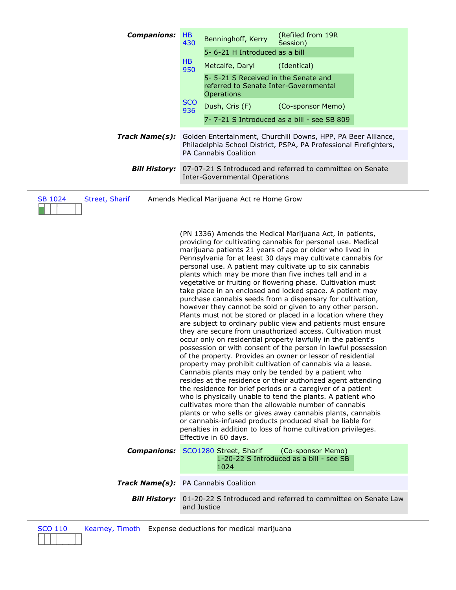| <b>Companions:</b>               | HB<br>430         | Benninghoff, Kerry                                                                         | (Refiled from 19R<br>Session)                                                                                                                                                                                                                                                                                                                                                                                                                                                                                                                                                                                                                                                                                                                                                                                                                                                                                                                                                                                                                                                                                                                                                                                                                                                                                                                                                                                                                                                                                                                |
|----------------------------------|-------------------|--------------------------------------------------------------------------------------------|----------------------------------------------------------------------------------------------------------------------------------------------------------------------------------------------------------------------------------------------------------------------------------------------------------------------------------------------------------------------------------------------------------------------------------------------------------------------------------------------------------------------------------------------------------------------------------------------------------------------------------------------------------------------------------------------------------------------------------------------------------------------------------------------------------------------------------------------------------------------------------------------------------------------------------------------------------------------------------------------------------------------------------------------------------------------------------------------------------------------------------------------------------------------------------------------------------------------------------------------------------------------------------------------------------------------------------------------------------------------------------------------------------------------------------------------------------------------------------------------------------------------------------------------|
|                                  | HB                | 5-6-21 H Introduced as a bill                                                              |                                                                                                                                                                                                                                                                                                                                                                                                                                                                                                                                                                                                                                                                                                                                                                                                                                                                                                                                                                                                                                                                                                                                                                                                                                                                                                                                                                                                                                                                                                                                              |
|                                  | 950               | Metcalfe, Daryl                                                                            | (Identical)                                                                                                                                                                                                                                                                                                                                                                                                                                                                                                                                                                                                                                                                                                                                                                                                                                                                                                                                                                                                                                                                                                                                                                                                                                                                                                                                                                                                                                                                                                                                  |
|                                  |                   | 5-5-21 S Received in the Senate and<br>referred to Senate Inter-Governmental<br>Operations |                                                                                                                                                                                                                                                                                                                                                                                                                                                                                                                                                                                                                                                                                                                                                                                                                                                                                                                                                                                                                                                                                                                                                                                                                                                                                                                                                                                                                                                                                                                                              |
|                                  | <b>SCO</b><br>936 | Dush, Cris (F)                                                                             | (Co-sponsor Memo)                                                                                                                                                                                                                                                                                                                                                                                                                                                                                                                                                                                                                                                                                                                                                                                                                                                                                                                                                                                                                                                                                                                                                                                                                                                                                                                                                                                                                                                                                                                            |
|                                  |                   | 7-7-21 S Introduced as a bill - see SB 809                                                 |                                                                                                                                                                                                                                                                                                                                                                                                                                                                                                                                                                                                                                                                                                                                                                                                                                                                                                                                                                                                                                                                                                                                                                                                                                                                                                                                                                                                                                                                                                                                              |
| Track Name(s):                   |                   | PA Cannabis Coalition                                                                      | Golden Entertainment, Churchill Downs, HPP, PA Beer Alliance,<br>Philadelphia School District, PSPA, PA Professional Firefighters,                                                                                                                                                                                                                                                                                                                                                                                                                                                                                                                                                                                                                                                                                                                                                                                                                                                                                                                                                                                                                                                                                                                                                                                                                                                                                                                                                                                                           |
| <b>Bill History:</b>             |                   | <b>Inter-Governmental Operations</b>                                                       | 07-07-21 S Introduced and referred to committee on Senate                                                                                                                                                                                                                                                                                                                                                                                                                                                                                                                                                                                                                                                                                                                                                                                                                                                                                                                                                                                                                                                                                                                                                                                                                                                                                                                                                                                                                                                                                    |
| <b>SB 1024</b><br>Street, Sharif |                   | Amends Medical Marijuana Act re Home Grow                                                  | (PN 1336) Amends the Medical Marijuana Act, in patients,                                                                                                                                                                                                                                                                                                                                                                                                                                                                                                                                                                                                                                                                                                                                                                                                                                                                                                                                                                                                                                                                                                                                                                                                                                                                                                                                                                                                                                                                                     |
|                                  |                   | Effective in 60 days.                                                                      | providing for cultivating cannabis for personal use. Medical<br>marijuana patients 21 years of age or older who lived in<br>Pennsylvania for at least 30 days may cultivate cannabis for<br>personal use. A patient may cultivate up to six cannabis<br>plants which may be more than five inches tall and in a<br>vegetative or fruiting or flowering phase. Cultivation must<br>take place in an enclosed and locked space. A patient may<br>purchase cannabis seeds from a dispensary for cultivation,<br>however they cannot be sold or given to any other person.<br>Plants must not be stored or placed in a location where they<br>are subject to ordinary public view and patients must ensure<br>they are secure from unauthorized access. Cultivation must<br>occur only on residential property lawfully in the patient's<br>possession or with consent of the person in lawful possession<br>of the property. Provides an owner or lessor of residential<br>property may prohibit cultivation of cannabis via a lease.<br>Cannabis plants may only be tended by a patient who<br>resides at the residence or their authorized agent attending<br>the residence for brief periods or a caregiver of a patient<br>who is physically unable to tend the plants. A patient who<br>cultivates more than the allowable number of cannabis<br>plants or who sells or gives away cannabis plants, cannabis<br>or cannabis-infused products produced shall be liable for<br>penalties in addition to loss of home cultivation privileges. |
| <b>Companions:</b>               |                   | SCO1280 Street, Sharif<br>1024                                                             | (Co-sponsor Memo)<br>1-20-22 S Introduced as a bill - see SB                                                                                                                                                                                                                                                                                                                                                                                                                                                                                                                                                                                                                                                                                                                                                                                                                                                                                                                                                                                                                                                                                                                                                                                                                                                                                                                                                                                                                                                                                 |
| <b>Track Name(s):</b>            |                   | PA Cannabis Coalition                                                                      |                                                                                                                                                                                                                                                                                                                                                                                                                                                                                                                                                                                                                                                                                                                                                                                                                                                                                                                                                                                                                                                                                                                                                                                                                                                                                                                                                                                                                                                                                                                                              |
| <b>Bill History:</b>             |                   | and Justice                                                                                | 01-20-22 S Introduced and referred to committee on Senate Law                                                                                                                                                                                                                                                                                                                                                                                                                                                                                                                                                                                                                                                                                                                                                                                                                                                                                                                                                                                                                                                                                                                                                                                                                                                                                                                                                                                                                                                                                |
|                                  |                   |                                                                                            |                                                                                                                                                                                                                                                                                                                                                                                                                                                                                                                                                                                                                                                                                                                                                                                                                                                                                                                                                                                                                                                                                                                                                                                                                                                                                                                                                                                                                                                                                                                                              |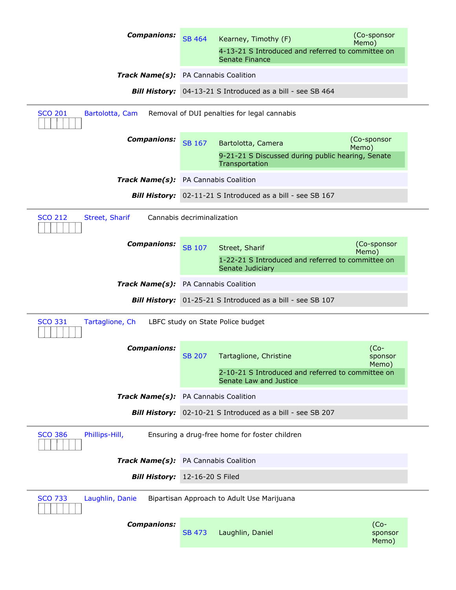| <b>Companions:</b>                                                               | <b>SB 464</b>              | Kearney, Timothy (F)                                                                      | (Co-sponsor<br>Memo)       |  |  |  |
|----------------------------------------------------------------------------------|----------------------------|-------------------------------------------------------------------------------------------|----------------------------|--|--|--|
|                                                                                  |                            | 4-13-21 S Introduced and referred to committee on<br>Senate Finance                       |                            |  |  |  |
| Track Name(s): PA Cannabis Coalition                                             |                            |                                                                                           |                            |  |  |  |
|                                                                                  |                            | Bill History: 04-13-21 S Introduced as a bill - see SB 464                                |                            |  |  |  |
| <b>SCO 201</b><br>Removal of DUI penalties for legal cannabis<br>Bartolotta, Cam |                            |                                                                                           |                            |  |  |  |
| <b>Companions:</b>                                                               | <b>SB 167</b>              | Bartolotta, Camera<br>9-21-21 S Discussed during public hearing, Senate<br>Transportation | (Co-sponsor<br>Memo)       |  |  |  |
| Track Name(s): PA Cannabis Coalition                                             |                            |                                                                                           |                            |  |  |  |
| <b>Bill History:</b>                                                             |                            | 02-11-21 S Introduced as a bill - see SB 167                                              |                            |  |  |  |
| <b>SCO 212</b><br>Street, Sharif                                                 | Cannabis decriminalization |                                                                                           |                            |  |  |  |
|                                                                                  |                            |                                                                                           |                            |  |  |  |
| <b>Companions:</b>                                                               | <b>SB 107</b>              | Street, Sharif<br>1-22-21 S Introduced and referred to committee on<br>Senate Judiciary   | (Co-sponsor<br>Memo)       |  |  |  |
| Track Name(s): PA Cannabis Coalition                                             |                            |                                                                                           |                            |  |  |  |
|                                                                                  |                            | Bill History: 01-25-21 S Introduced as a bill - see SB 107                                |                            |  |  |  |
| <b>SCO 331</b><br>Tartaglione, Ch<br>LBFC study on State Police budget           |                            |                                                                                           |                            |  |  |  |
| <b>Companions:</b>                                                               | <b>SB 207</b>              | Tartaglione, Christine                                                                    | $(Co-$<br>sponsor<br>Memo) |  |  |  |
|                                                                                  |                            | 2-10-21 S Introduced and referred to committee on                                         |                            |  |  |  |
|                                                                                  |                            | Senate Law and Justice                                                                    |                            |  |  |  |
| Track Name(s): PA Cannabis Coalition                                             |                            |                                                                                           |                            |  |  |  |
| <b>Bill History:</b>                                                             |                            | 02-10-21 S Introduced as a bill - see SB 207                                              |                            |  |  |  |
| <b>SCO 386</b><br>Phillips-Hill,                                                 |                            | Ensuring a drug-free home for foster children                                             |                            |  |  |  |
| Track Name(s): PA Cannabis Coalition                                             |                            |                                                                                           |                            |  |  |  |
| <b>Bill History:</b>                                                             | 12-16-20 S Filed           |                                                                                           |                            |  |  |  |
| <b>SCO 733</b><br>Laughlin, Danie                                                |                            | Bipartisan Approach to Adult Use Marijuana                                                |                            |  |  |  |